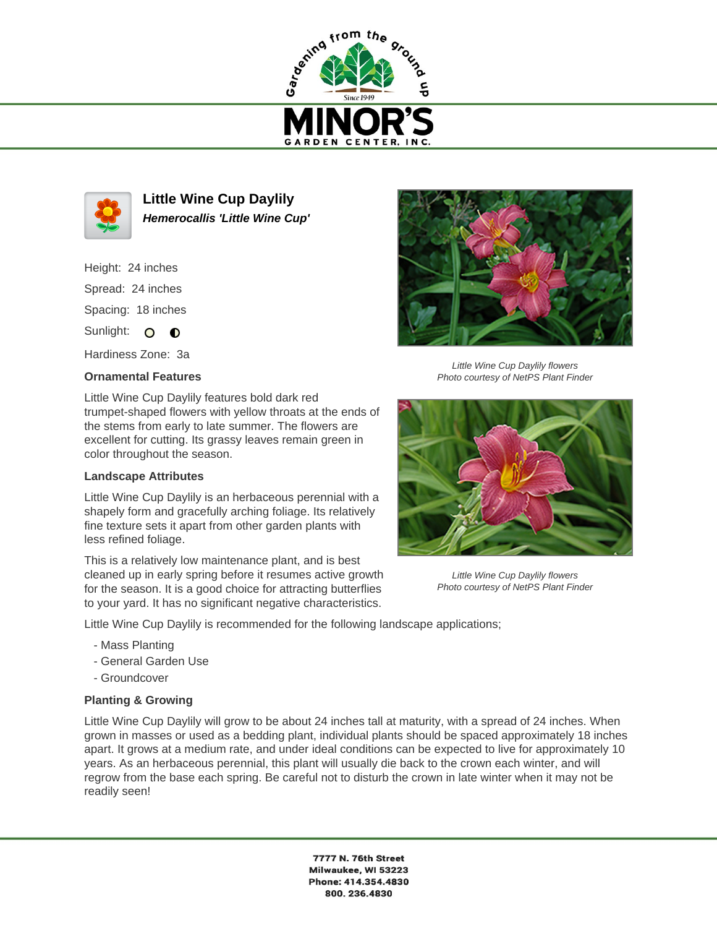



**Little Wine Cup Daylily Hemerocallis 'Little Wine Cup'**

Height: 24 inches Spread: 24 inches Spacing: 18 inches

Sunlight: O O

Hardiness Zone: 3a

## **Ornamental Features**

Little Wine Cup Daylily features bold dark red trumpet-shaped flowers with yellow throats at the ends of the stems from early to late summer. The flowers are excellent for cutting. Its grassy leaves remain green in color throughout the season.

## **Landscape Attributes**

Little Wine Cup Daylily is an herbaceous perennial with a shapely form and gracefully arching foliage. Its relatively fine texture sets it apart from other garden plants with less refined foliage.

This is a relatively low maintenance plant, and is best cleaned up in early spring before it resumes active growth for the season. It is a good choice for attracting butterflies to your yard. It has no significant negative characteristics.

Little Wine Cup Daylily is recommended for the following landscape applications;

- Mass Planting
- General Garden Use
- Groundcover

## **Planting & Growing**

Little Wine Cup Daylily will grow to be about 24 inches tall at maturity, with a spread of 24 inches. When grown in masses or used as a bedding plant, individual plants should be spaced approximately 18 inches apart. It grows at a medium rate, and under ideal conditions can be expected to live for approximately 10 years. As an herbaceous perennial, this plant will usually die back to the crown each winter, and will regrow from the base each spring. Be careful not to disturb the crown in late winter when it may not be readily seen!

> 7777 N. 76th Street Milwaukee, WI 53223 Phone: 414.354.4830 800.236.4830



Little Wine Cup Daylily flowers Photo courtesy of NetPS Plant Finder



Little Wine Cup Daylily flowers Photo courtesy of NetPS Plant Finder